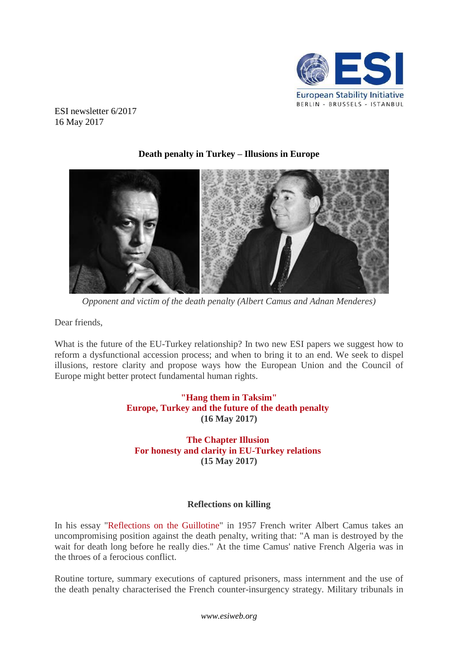

ESI newsletter 6/2017 16 May 2017



# **Death penalty in Turkey – Illusions in Europe**

*Opponent and victim of the death penalty (Albert Camus and Adnan Menderes)*

Dear friends,

What is the future of the EU-Turkey relationship? In two new ESI papers we suggest how to reform a dysfunctional accession process; and when to bring it to an end. We seek to dispel illusions, restore clarity and propose ways how the European Union and the Council of Europe might better protect fundamental human rights.

# **["Hang them in Taksim"](http://www.esiweb.org/index.php?lang=en&id=156&document_ID=185) [Europe, Turkey and the future of the death penalty](http://www.esiweb.org/index.php?lang=en&id=156&document_ID=185) (16 May 2017)**

**[The Chapter Illusion](http://www.esiweb.org/index.php?lang=en&id=156&document_ID=186) [For honesty and clarity in EU-Turkey relations](http://www.esiweb.org/index.php?lang=en&id=156&document_ID=186) (15 May 2017)**

## **Reflections on killing**

In his essay ["Reflections on the Guillotine"](http://users.clas.ufl.edu/burt/deathsentences/CamusGuillotine.pdf) in 1957 French writer Albert Camus takes an uncompromising position against the death penalty, writing that: "A man is destroyed by the wait for death long before he really dies." At the time Camus' native French Algeria was in the throes of a ferocious conflict.

Routine torture, summary executions of captured prisoners, mass internment and the use of the death penalty characterised the French counter-insurgency strategy. Military tribunals in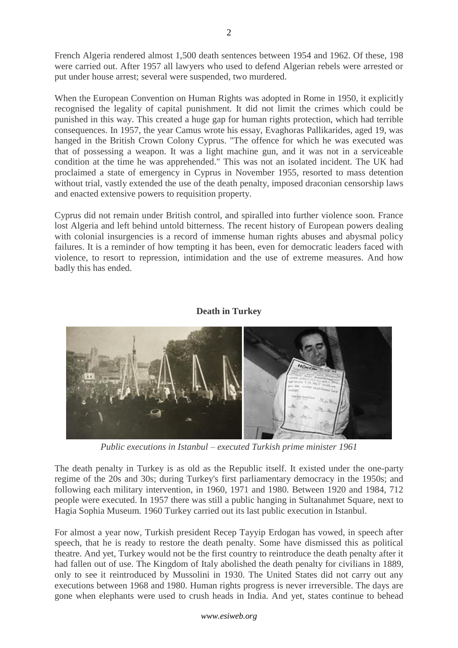French Algeria rendered almost 1,500 death sentences between 1954 and 1962. Of these, 198 were carried out. After 1957 all lawyers who used to defend Algerian rebels were arrested or put under house arrest; several were suspended, two murdered.

When the European Convention on Human Rights was adopted in Rome in 1950, it explicitly recognised the legality of capital punishment. It did not limit the crimes which could be punished in this way. This created a huge gap for human rights protection, which had terrible consequences. In 1957, the year Camus wrote his essay, Evaghoras Pallikarides, aged 19, was hanged in the British Crown Colony Cyprus. "The offence for which he was executed was that of possessing a weapon. It was a light machine gun, and it was not in a serviceable condition at the time he was apprehended." This was not an isolated incident. The UK had proclaimed a state of emergency in Cyprus in November 1955, resorted to mass detention without trial, vastly extended the use of the death penalty, imposed draconian censorship laws and enacted extensive powers to requisition property.

Cyprus did not remain under British control, and spiralled into further violence soon. France lost Algeria and left behind untold bitterness. The recent history of European powers dealing with colonial insurgencies is a record of immense human rights abuses and abysmal policy failures. It is a reminder of how tempting it has been, even for democratic leaders faced with violence, to resort to repression, intimidation and the use of extreme measures. And how badly this has ended.

# **Death in Turkey**



*Public executions in Istanbul – executed Turkish prime minister 1961*

The death penalty in Turkey is as old as the Republic itself. It existed under the one-party regime of the 20s and 30s; during Turkey's first parliamentary democracy in the 1950s; and following each military intervention, in 1960, 1971 and 1980. Between 1920 and 1984, 712 people were executed. In 1957 there was still a public hanging in Sultanahmet Square, next to Hagia Sophia Museum*.* 1960 Turkey carried out its last public execution in Istanbul.

For almost a year now, Turkish president Recep Tayyip Erdogan has vowed, in speech after speech, that he is ready to restore the death penalty. Some have dismissed this as political theatre. And yet, Turkey would not be the first country to reintroduce the death penalty after it had fallen out of use. The Kingdom of Italy abolished the death penalty for civilians in 1889, only to see it reintroduced by Mussolini in 1930. The United States did not carry out any executions between 1968 and 1980. Human rights progress is never irreversible. The days are gone when elephants were used to crush heads in India. And yet, states continue to behead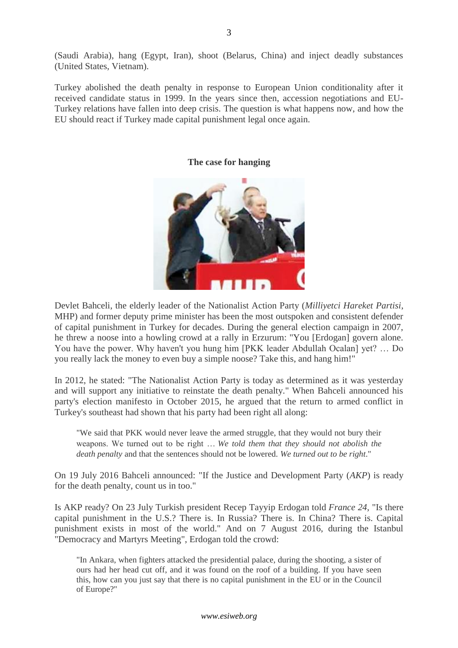(Saudi Arabia), hang (Egypt, Iran), shoot (Belarus, China) and inject deadly substances (United States, Vietnam).

Turkey abolished the death penalty in response to European Union conditionality after it received candidate status in 1999. In the years since then, accession negotiations and EU-Turkey relations have fallen into deep crisis. The question is what happens now, and how the EU should react if Turkey made capital punishment legal once again.

## **The case for hanging**



Devlet Bahceli, the elderly leader of the Nationalist Action Party (*Milliyetci Hareket Partisi*, MHP) and former deputy prime minister has been the most outspoken and consistent defender of capital punishment in Turkey for decades. During the general election campaign in 2007, he threw a noose into a howling crowd at a rally in Erzurum: "You [Erdogan] govern alone. You have the power. Why haven't you hung him [PKK leader Abdullah Ocalan] yet? … Do you really lack the money to even buy a simple noose? Take this, and hang him!"

In 2012, he stated: "The Nationalist Action Party is today as determined as it was yesterday and will support any initiative to reinstate the death penalty." When Bahceli announced his party's election manifesto in October 2015, he argued that the return to armed conflict in Turkey's southeast had shown that his party had been right all along:

"We said that PKK would never leave the armed struggle, that they would not bury their weapons. We turned out to be right … *We told them that they should not abolish the death penalty* and that the sentences should not be lowered. *We turned out to be right*."

On 19 July 2016 Bahceli announced: "If the Justice and Development Party (*AKP*) is ready for the death penalty, count us in too."

Is AKP ready? On 23 July Turkish president Recep Tayyip Erdogan told *France 24*, "Is there capital punishment in the U.S.? There is. In Russia? There is. In China? There is. Capital punishment exists in most of the world." And on 7 August 2016, during the Istanbul "Democracy and Martyrs Meeting", Erdogan told the crowd:

"In Ankara, when fighters attacked the presidential palace, during the shooting, a sister of ours had her head cut off, and it was found on the roof of a building. If you have seen this, how can you just say that there is no capital punishment in the EU or in the Council of Europe?"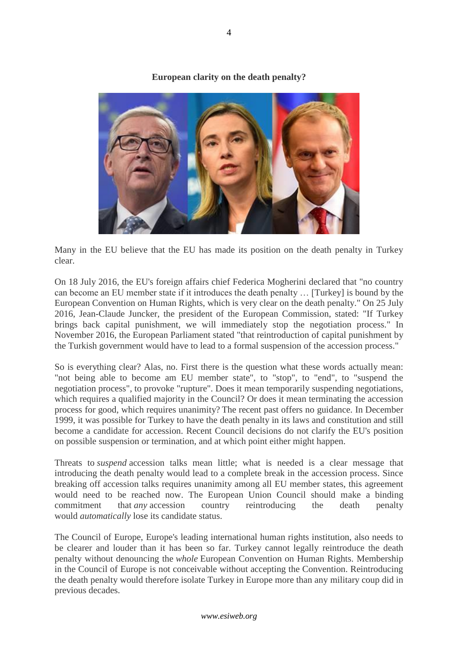

**European clarity on the death penalty?**

Many in the EU believe that the EU has made its position on the death penalty in Turkey clear.

On 18 July 2016, the EU's foreign affairs chief Federica Mogherini declared that "no country can become an EU member state if it introduces the death penalty … [Turkey] is bound by the European Convention on Human Rights, which is very clear on the death penalty." On 25 July 2016, Jean-Claude Juncker, the president of the European Commission, stated: "If Turkey brings back capital punishment, we will immediately stop the negotiation process." In November 2016, the European Parliament stated "that reintroduction of capital punishment by the Turkish government would have to lead to a formal suspension of the accession process."

So is everything clear? Alas, no. First there is the question what these words actually mean: "not being able to become am EU member state", to "stop", to "end", to "suspend the negotiation process", to provoke "rupture". Does it mean temporarily suspending negotiations, which requires a qualified majority in the Council? Or does it mean terminating the accession process for good, which requires unanimity? The recent past offers no guidance. In December 1999, it was possible for Turkey to have the death penalty in its laws and constitution and still become a candidate for accession. Recent Council decisions do not clarify the EU's position on possible suspension or termination, and at which point either might happen.

Threats to *suspend* accession talks mean little; what is needed is a clear message that introducing the death penalty would lead to a complete break in the accession process. Since breaking off accession talks requires unanimity among all EU member states, this agreement would need to be reached now. The European Union Council should make a binding commitment that *any* accession country reintroducing the death penalty would *automatically* lose its candidate status.

The Council of Europe, Europe's leading international human rights institution, also needs to be clearer and louder than it has been so far. Turkey cannot legally reintroduce the death penalty without denouncing the *whole* European Convention on Human Rights. Membership in the Council of Europe is not conceivable without accepting the Convention. Reintroducing the death penalty would therefore isolate Turkey in Europe more than any military coup did in previous decades.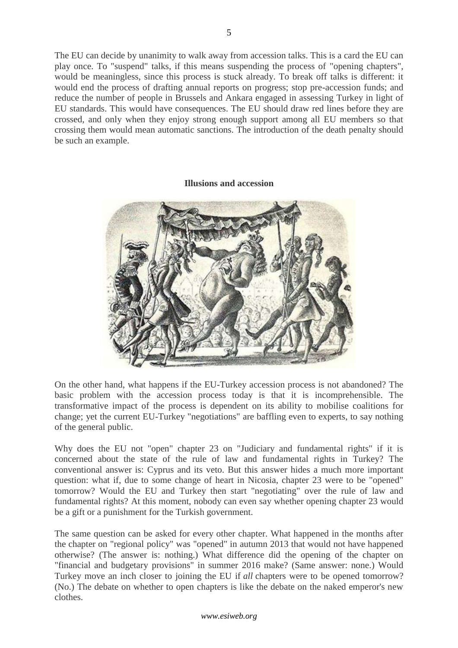The EU can decide by unanimity to walk away from accession talks. This is a card the EU can play once. To "suspend" talks, if this means suspending the process of "opening chapters", would be meaningless, since this process is stuck already. To break off talks is different: it would end the process of drafting annual reports on progress; stop pre-accession funds; and reduce the number of people in Brussels and Ankara engaged in assessing Turkey in light of EU standards. This would have consequences. The EU should draw red lines before they are crossed, and only when they enjoy strong enough support among all EU members so that crossing them would mean automatic sanctions. The introduction of the death penalty should be such an example.

#### **Illusions and accession**



On the other hand, what happens if the EU-Turkey accession process is not abandoned? The basic problem with the accession process today is that it is incomprehensible. The transformative impact of the process is dependent on its ability to mobilise coalitions for change; yet the current EU-Turkey "negotiations" are baffling even to experts, to say nothing of the general public.

Why does the EU not "open" chapter 23 on "Judiciary and fundamental rights" if it is concerned about the state of the rule of law and fundamental rights in Turkey? The conventional answer is: Cyprus and its veto. But this answer hides a much more important question: what if, due to some change of heart in Nicosia, chapter 23 were to be "opened" tomorrow? Would the EU and Turkey then start "negotiating" over the rule of law and fundamental rights? At this moment, nobody can even say whether opening chapter 23 would be a gift or a punishment for the Turkish government.

The same question can be asked for every other chapter. What happened in the months after the chapter on "regional policy" was "opened" in autumn 2013 that would not have happened otherwise? (The answer is: nothing.) What difference did the opening of the chapter on "financial and budgetary provisions" in summer 2016 make? (Same answer: none.) Would Turkey move an inch closer to joining the EU if *all* chapters were to be opened tomorrow? (No.) The debate on whether to open chapters is like the debate on the naked emperor's new clothes.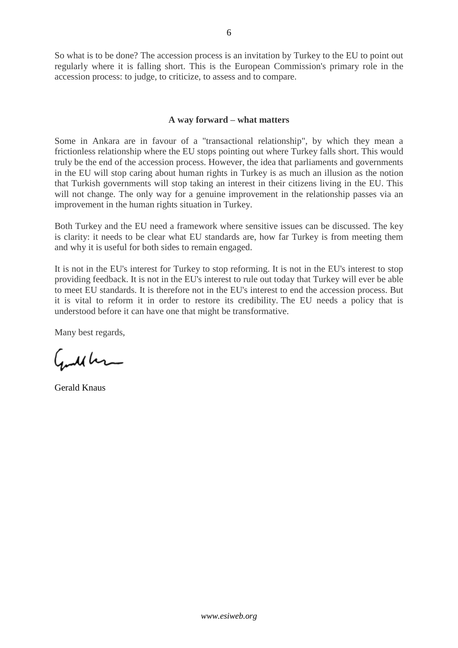So what is to be done? The accession process is an invitation by Turkey to the EU to point out regularly where it is falling short. This is the European Commission's primary role in the accession process: to judge, to criticize, to assess and to compare.

## **A way forward – what matters**

Some in Ankara are in favour of a "transactional relationship", by which they mean a frictionless relationship where the EU stops pointing out where Turkey falls short. This would truly be the end of the accession process. However, the idea that parliaments and governments in the EU will stop caring about human rights in Turkey is as much an illusion as the notion that Turkish governments will stop taking an interest in their citizens living in the EU. This will not change. The only way for a genuine improvement in the relationship passes via an improvement in the human rights situation in Turkey.

Both Turkey and the EU need a framework where sensitive issues can be discussed. The key is clarity: it needs to be clear what EU standards are, how far Turkey is from meeting them and why it is useful for both sides to remain engaged.

It is not in the EU's interest for Turkey to stop reforming. It is not in the EU's interest to stop providing feedback. It is not in the EU's interest to rule out today that Turkey will ever be able to meet EU standards. It is therefore not in the EU's interest to end the accession process. But it is vital to reform it in order to restore its credibility. The EU needs a policy that is understood before it can have one that might be transformative.

Many best regards,

Gutcher

Gerald Knaus